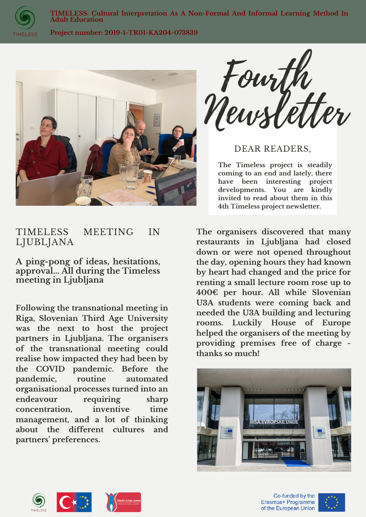

**TIMELESS: Cultural Interpretation As A Non-Formal And Informal Learning Method In Adult Education**

**Project number: 2019-1-TR01-KA204-073839**



Fourth Newsletter

DEAR READERS,

**The Timeless project is steadily coming to an end and lately, there have been interesting project developments. You are kindly invited to read about them in this 4th Timeless project newsletter.**

## TIMELESS MEETING IN LJUBLJANA

**A ping-pong of ideas, hesitations, approval... All during the Timeless meeting in Ljubljana**

**Following the transnational meeting in Riga, Slovenian Third Age University was the next to host the project partners in Ljubljana. The organisers of the transnational meeting could realise how impacted they had been by the COVID pandemic. Before the pandemic, routine automated organisational processes turned into an endeavour requiring sharp concentration, inventive time management, and a lot of thinking about the different cultures and partners' preferences.**

**The organisers discovered that many restaurants in Ljubljana had closed down or were not opened throughout the day, opening hours they had known by heart had changed and the price for renting a small lecture room rose up to 400€ per hour. All while Slovenian U3A students were coming back and needed the U3A building and lecturing rooms. Luckily House of Europe helped the organisers of the meeting by providing premises free of charge thanks so much!**





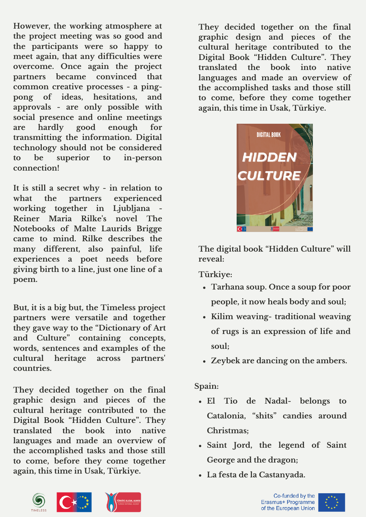**However, the working atmosphere at the project meeting was so good and the participants were so happy to meet again, that any difficulties were overcome. Once again the project partners became convinced that common creative processes - a pingpong of ideas, hesitations, and approvals - are only possible with social presence and online meetings are hardly good enough for transmitting the information. Digital technology should not be considered to be superior to in-person connection!**

**It is still a secret why - in relation to what the partners experienced working together in Ljubljana - Reiner Maria Rilke's novel The Notebooks of Malte Laurids Brigge came to mind. Rilke describes the many different, also painful, life experiences a poet needs before giving birth to a line, just one line of a poem.**

**But, it is a big but, the Timeless project partners were versatile and together they gave way to the "Dictionary of Art and Culture" containing concepts, words, sentences and examples of the cultural heritage across partners' countries.**

**They decided together on the final graphic design and pieces of the cultural heritage contributed to the Digital Book "Hidden Culture". They translated the book into native languages and made an overview of the accomplished tasks and those still to come, before they come together again, this time in Usak, Türkiye.**





**The digital book "Hidden Culture" will reveal:**

**Türkiye:**

- **Tarhana soup. Once a soup for poor people, it now heals body and soul;**
- **Kilim weaving- traditional weaving of rugs is an expression of life and soul;**
- **Zeybek are dancing on the ambers.**

**Spain:**

- **El Tio de Nadal- belongs to Catalonia, "shits" candies around Christmas;**
- **Saint Jord, the legend of Saint George and the dragon;**
- **La festa de la Castanyada.**